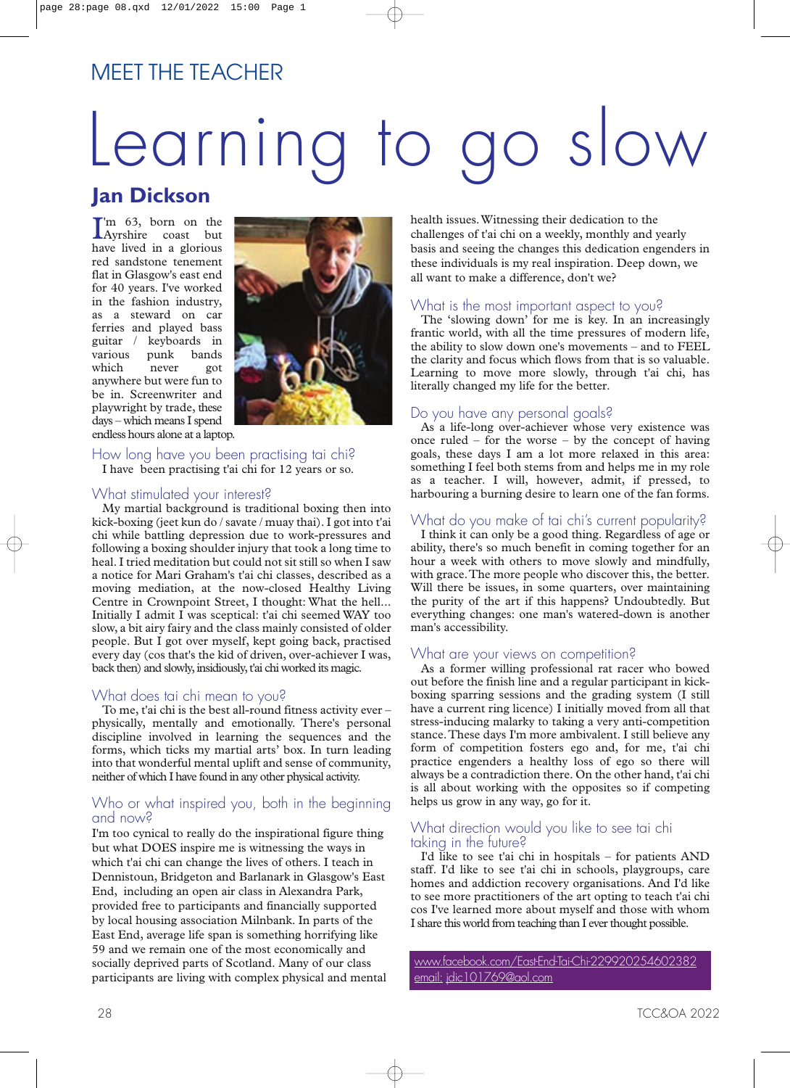# MEET THE TEACHER

# Learning to go slow

# **Jan Dickson**

I'm 63, born on the<br>Ayrshire coast but Ayrshire coast but have lived in a glorious red sandstone tenement flat in Glasgow's east end for 40 years. I've worked in the fashion industry, as a steward on car ferries and played bass guitar / keyboards in<br>various punk bands various punk<br>which never which never got anywhere but were fun to be in. Screenwriter and playwright by trade, these days – which means I spend endless hours alone at a laptop.



How long have you been practising tai chi? I have been practising t'ai chi for 12 years or so.

# What stimulated your interest?

My martial background is traditional boxing then into kick-boxing (jeet kun do / savate / muay thai). I got into t'ai chi while battling depression due to work-pressures and following a boxing shoulder injury that took a long time to heal. I tried meditation but could not sit still so when I saw a notice for Mari Graham's t'ai chi classes, described as a moving mediation, at the now-closed Healthy Living Centre in Crownpoint Street, I thought: What the hell... Initially I admit I was sceptical: t'ai chi seemed WAY too slow, a bit airy fairy and the class mainly consisted of older people. But I got over myself, kept going back, practised every day (cos that's the kid of driven, over-achiever I was, back then) and slowly, insidiously, t'ai chi worked its magic.

# What does tai chi mean to you?

To me, t'ai chi is the best all-round fitness activity ever – physically, mentally and emotionally. There's personal discipline involved in learning the sequences and the forms, which ticks my martial arts' box. In turn leading into that wonderful mental uplift and sense of community, neither of which I have found in any other physical activity.

# Who or what inspired you, both in the beginning and now?

I'm too cynical to really do the inspirational figure thing but what DOES inspire me is witnessing the ways in which t'ai chi can change the lives of others. I teach in Dennistoun, Bridgeton and Barlanark in Glasgow's East End, including an open air class in Alexandra Park, provided free to participants and financially supported by local housing association Milnbank. In parts of the East End, average life span is something horrifying like 59 and we remain one of the most economically and socially deprived parts of Scotland. Many of our class participants are living with complex physical and mental health issues.Witnessing their dedication to the challenges of t'ai chi on a weekly, monthly and yearly basis and seeing the changes this dedication engenders in these individuals is my real inspiration. Deep down, we all want to make a difference, don't we?

# What is the most important aspect to you?

The 'slowing down' for me is key. In an increasingly frantic world, with all the time pressures of modern life, the ability to slow down one's movements – and to FEEL the clarity and focus which flows from that is so valuable. Learning to move more slowly, through t'ai chi, has literally changed my life for the better.

# Do you have any personal goals?

As a life-long over-achiever whose very existence was once ruled – for the worse – by the concept of having goals, these days I am a lot more relaxed in this area: something I feel both stems from and helps me in my role as a teacher. I will, however, admit, if pressed, to harbouring a burning desire to learn one of the fan forms.

# What do you make of tai chi's current popularity?

I think it can only be a good thing. Regardless of age or ability, there's so much benefit in coming together for an hour a week with others to move slowly and mindfully, with grace.The more people who discover this, the better. Will there be issues, in some quarters, over maintaining the purity of the art if this happens? Undoubtedly. But everything changes: one man's watered-down is another man's accessibility.

# What are your views on competition?

As a former willing professional rat racer who bowed out before the finish line and a regular participant in kickboxing sparring sessions and the grading system (I still have a current ring licence) I initially moved from all that stress-inducing malarky to taking a very anti-competition stance.These days I'm more ambivalent. I still believe any form of competition fosters ego and, for me, t'ai chi practice engenders a healthy loss of ego so there will always be a contradiction there. On the other hand, t'ai chi is all about working with the opposites so if competing helps us grow in any way, go for it.

# What direction would you like to see tai chi taking in the future?

I'd like to see t'ai chi in hospitals – for patients AND staff. I'd like to see t'ai chi in schools, playgroups, care homes and addiction recovery organisations. And I'd like to see more practitioners of the art opting to teach t'ai chi cos I've learned more about myself and those with whom I share this world from teaching than I ever thought possible.

[www.facebook.com/East-End-Tai-Chi-229920254602382](http://www.facebook.com/East-End-Tai-Chi-229920254602382) email: [jdic101769@aol.com](mailto:jdic101769@aol.com)